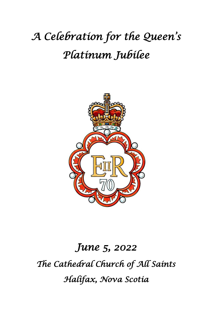# *A Celebration for the Queen's Platinum Jubilee*



# *June 5, 2022 The Cathedral Church of All Saints Halifax, Nova Scotia*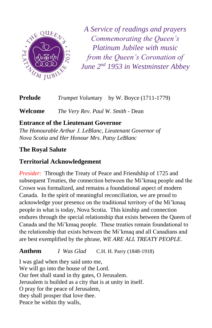

*A Service of readings and prayers Commemorating the Queen's Platinum Jubilee with music from the Queen's Coronation of June 2nd 1953 in Westminster Abbey*

**Prelude** *Trumpet Volun*tary by W. Boyce (1711-1779)

**Welcome** *The Very Rev. Paul W. Smith* - Dean

# **Entrance of the Lieutenant Governor**

*The Honourable Arthur J. LeBlanc, Lieutenant Governor of Nova Scotia and Her Honour Mrs. Patsy LeBlanc*

# **The Royal Salute**

# **Territorial Acknowledgement**

*Presider:* Through the Treaty of Peace and Friendship of 1725 and subsequent Treaties, the connection between the Mi'kmaq people and the Crown was formalized, and remains a foundational aspect of modern Canada. In the spirit of meaningful reconciliation, we are proud to acknowledge your presence on the traditional territory of the Mi'kmaq people in what is today, Nova Scotia. This kinship and connection endures through the special relationship that exists between the Queen of Canada and the Mi'kmaq people. These treaties remain foundational to the relationship that exists between the Mi'kmaq and all Canadians and are best exemplified by the phrase, *WE ARE ALL TREATY PEOPLE.*

#### **Anthem** *I Was Glad* C.H. H. Parry (1848-1918)

I was glad when they said unto me, We will go into the house of the Lord. Our feet shall stand in thy gates, O Jerusalem. Jerusalem is builded as a city that is at unity in itself. O pray for the peace of Jerusalem, they shall prosper that love thee. Peace be within thy walls,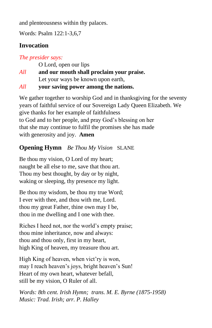and plenteousness within thy palaces.

Words: Psalm 122:1-3,6,7

# **Invocation**

### *The presider says:*

O Lord, open our lips

*All* **and our mouth shall proclaim your praise.** Let your ways be known upon earth,

*All* **your saving power among the nations.**

We gather together to worship God and in thanksgiving for the seventy years of faithful service of our Sovereign Lady Queen Elizabeth. We give thanks for her example of faithfulness to God and to her people, and pray God's blessing on her that she may continue to fulfil the promises she has made with generosity and joy. **Amen**

# **Opening Hymn** *Be Thou My Vision* SLANE

Be thou my vision, O Lord of my heart; naught be all else to me, save that thou art. Thou my best thought, by day or by night, waking or sleeping, thy presence my light.

Be thou my wisdom, be thou my true Word; I ever with thee, and thou with me, Lord. thou my great Father, thine own may I be, thou in me dwelling and I one with thee.

Riches I heed not, nor the world's empty praise; thou mine inheritance, now and always: thou and thou only, first in my heart, high King of heaven, my treasure thou art.

High King of heaven, when vict'ry is won, may I reach heaven's joys, bright heaven's Sun! Heart of my own heart, whatever befall, still be my vision, O Ruler of all.

*Words: 8th cent. Irish Hymn; trans. M. E. Byrne (1875-1958) Music: Trad. Irish; arr. P. Halley*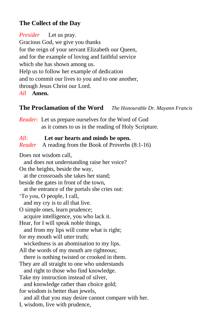# **The Collect of the Day**

*Presider* Let us pray. Gracious God, we give you thanks for the reign of your servant Elizabeth our Queen, and for the example of loving and faithful service which she has shown among us. Help us to follow her example of dedication and to commit our lives to you and to one another, through Jesus Christ our Lord. *All* **Amen.**

# **The Proclamation of the Word** *The Honourable Dr. Mayann Francis*

*Reader:* Let us prepare ourselves for the Word of God . as it comes to us in the reading of Holy Scripture.

#### *All:* **Let our hearts and minds be open.**

*Reader* A reading from the Book of Proverbs (8:1-16)

Does not wisdom call,

and does not understanding raise her voice?

On the heights, beside the way,

at the crossroads she takes her stand;

beside the gates in front of the town,

at the entrance of the portals she cries out:

'To you, O people, I call,

and my cry is to all that live.

O simple ones, learn prudence; acquire intelligence, you who lack it.

Hear, for I will speak noble things,

 and from my lips will come what is right; for my mouth will utter truth;

wickedness is an abomination to my lips.

All the words of my mouth are righteous;

there is nothing twisted or crooked in them.

They are all straight to one who understands

and right to those who find knowledge.

Take my instruction instead of silver,

and knowledge rather than choice gold;

for wisdom is better than jewels,

and all that you may desire cannot compare with her.

I, wisdom, live with prudence,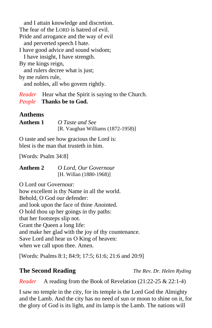and I attain knowledge and discretion. The fear of the LORD is hatred of evil. Pride and arrogance and the way of evil and perverted speech I hate. I have good advice and sound wisdom; I have insight, I have strength. By me kings reign, and rulers decree what is just; by me rulers rule, and nobles, all who govern rightly.

*Reader* Hear what the Spirit is saying to the Church. *People* **Thanks be to God.**

# **Anthems**

| Anthem 1 | O Taste and See                      |
|----------|--------------------------------------|
|          | [R. Vaughan Williams $(1872-1958)$ ] |

O taste and see how gracious the Lord is: blest is the man that trusteth in him.

[Words: Psalm 34:8]

**Anthem 2** *O Lord, Our Governour* [H. Willan (1880-1968)]

O Lord our Governour: how excellent is thy Name in all the world. Behold, O God our defender: and look upon the face of thine Anointed. O hold thou up her goings in thy paths: that her footsteps slip not. Grant the Queen a long life: and make her glad with the joy of thy countenance. Save Lord and hear us O King of heaven: when we call upon thee. Amen.

[Words: Psalms 8:1; 84:9; 17:5; 61:6; 21:6 and 20:9]

**The Second Reading** *The Rev. Dr. Helen Ryding*

*Reader* A reading from the Book of Revelation (21:22-25 & 22:1-4)

I saw no temple in the city, for its temple is the Lord God the Almighty and the Lamb. And the city has no need of sun or moon to shine on it, for the glory of God is its light, and its lamp is the Lamb. The nations will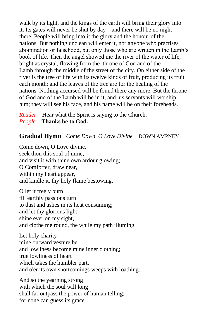walk by its light, and the kings of the earth will bring their glory into it. Its gates will never be shut by day—and there will be no night there. People will bring into it the glory and the honour of the nations. But nothing unclean will enter it, nor anyone who practises abomination or falsehood, but only those who are written in the Lamb's book of life. Then the angel showed me the river of the water of life, bright as crystal, flowing from the throne of God and of the Lamb through the middle of the street of the city. On either side of the river is the tree of life with its twelve kinds of fruit, producing its fruit each month; and the leaves of the tree are for the healing of the nations. Nothing accursed will be found there any more. But the throne of God and of the Lamb will be in it, and his servants will worship him; they will see his face, and his name will be on their foreheads.

*Reader* Hear what the Spirit is saying to the Church. *People* **Thanks be to God.**

#### **Gradual Hymn** *Come Down, O Love Divine* DOWN AMPNEY

Come down, O Love divine, seek thou this soul of mine, and visit it with thine own ardour glowing; O Comforter, draw near, within my heart appear, and kindle it, thy holy flame bestowing.

O let it freely burn till earthly passions turn to dust and ashes in its heat consuming; and let thy glorious light shine ever on my sight, and clothe me round, the while my path illuming.

Let holy charity mine outward vesture be, and lowliness become mine inner clothing; true lowliness of heart which takes the humbler part, and o'er its own shortcomings weeps with loathing.

And so the yearning strong with which the soul will long shall far outpass the power of human telling; for none can guess its grace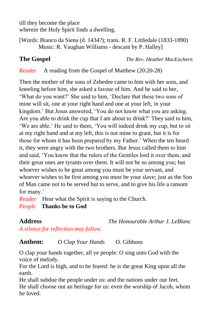till they become the place wherein the Holy Spirit finds a dwelling.

[Words: Bianco da Siena (d. 1434?); trans. R. F. Littledale (1833-1890) Music: R. Vaughan Williams - descant by P. Halley]

**The Gospel** *The Rev. Heather MacEachern*

*Reader* A reading from the Gospel of Matthew (20:20-28)

Then the mother of the sons of Zebedee came to him with her sons, and kneeling before him, she asked a favour of him. And he said to her, 'What do you want?' She said to him, 'Declare that these two sons of mine will sit, one at your right hand and one at your left, in your kingdom.' But Jesus answered, 'You do not know what you are asking. Are you able to drink the cup that I am about to drink?' They said to him, 'We are able.' He said to them, 'You will indeed drink my cup, but to sit at my right hand and at my left, this is not mine to grant, but it is for those for whom it has been prepared by my Father.' When the ten heard it, they were angry with the two brothers. But Jesus called them to him and said, 'You know that the rulers of the Gentiles lord it over them, and their great ones are tyrants over them. It will not be so among you; but whoever wishes to be great among you must be your servant, and whoever wishes to be first among you must be your slave; just as the Son of Man came not to be served but to serve, and to give his life a ransom for many.'

*Reader* Hear what the Spirit is saying to the Church. *People* **Thanks be to God**

**Address** *The Honourable Arthur J. LeBlanc*

*A silence for reflection may follow.*

**Anthem:** *O Clap Your Hands* O. Gibbons

O clap your hands together, all ye people: O sing unto God with the voice of melody.

For the Lord is high, and to be feared: he is the great King upon all the earth.

He shall subdue the people under us: and the nations under our feet. He shall choose out an heritage for us: even the worship of Jacob, whom he loved.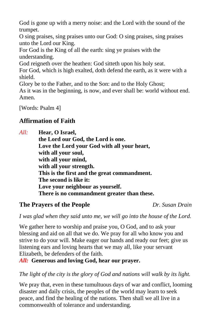God is gone up with a merry noise: and the Lord with the sound of the trumpet.

O sing praises, sing praises unto our God: O sing praises, sing praises unto the Lord our King.

For God is the King of all the earth: sing ye praises with the understanding.

God reigneth over the heathen: God sitteth upon his holy seat.

For God, which is high exalted, doth defend the earth, as it were with a shield.

Glory be to the Father, and to the Son: and to the Holy Ghost;

As it was in the beginning, is now, and ever shall be: world without end. Amen.

[Words: Psalm 4]

# **Affirmation of Faith**

*All:* **Hear, O Israel,** 

**the Lord our God, the Lord is one. Love the Lord your God with all your heart, with all your soul, with all your mind, with all your strength. This is the first and the great commandment. The second is like it: Love your neighbour as yourself. There is no commandment greater than these.**

### **The Prayers of the People** *Dr. Susan Drain*

*I was glad when they said unto me, we will go into the house of the Lord.*

We gather here to worship and praise you, O God, and to ask your blessing and aid on all that we do. We pray for all who know you and strive to do your will. Make eager our hands and ready our feet; give us listening ears and loving hearts that we may all, like your servant Elizabeth, be defenders of the faith.

*All:* **Generous and loving God, hear our prayer.**

*The light of the city is the glory of God and nations will walk by its light.*

We pray that, even in these tumultuous days of war and conflict, looming disaster and daily crisis, the peoples of the world may learn to seek peace, and find the healing of the nations. Then shall we all live in a commonwealth of tolerance and understanding.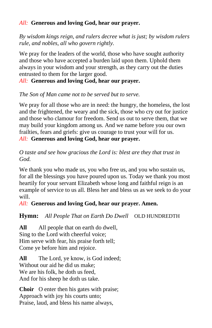#### *All:* **Generous and loving God, hear our prayer.**

*By wisdom kings reign, and rulers decree what is just; by wisdom rulers rule, and nobles, all who govern rightly.*

We pray for the leaders of the world, those who have sought authority and those who have accepted a burden laid upon them. Uphold them always in your wisdom and your strength, as they carry out the duties entrusted to them for the larger good.

*All:* **Generous and loving God, hear our prayer.**

*The Son of Man came not to be served but to serve.*

We pray for all those who are in need: the hungry, the homeless, the lost and the frightened, the weary and the sick, those who cry out for justice and those who clamour for freedom. Send us out to serve them, that we may build your kingdom among us. And we name before you our own frailties, fears and griefs: give us courage to trust your will for us.

*All:* **Generous and loving God, hear our prayer.**

*O taste and see how gracious the Lord is: blest are they that trust in God.*

We thank you who made us, you who free us, and you who sustain us, for all the blessings you have poured upon us. Today we thank you most heartily for your servant Elizabeth whose long and faithful reign is an example of service to us all. Bless her and bless us as we seek to do your will.

*All:* **Generous and loving God, hear our prayer. Amen.**

**Hymn:** All People That on Earth Do Dwell OLD HUNDREDTH

**All** All people that on earth do dwell, Sing to the Lord with cheerful voice; Him serve with fear, his praise forth tell; Come ye before him and rejoice.

**All** The Lord, ye know, is God indeed; Without our aid he did us make; We are his folk, he doth us feed. And for his sheep he doth us take.

**Choir** O enter then his gates with praise; Approach with joy his courts unto; Praise, laud, and bless his name always,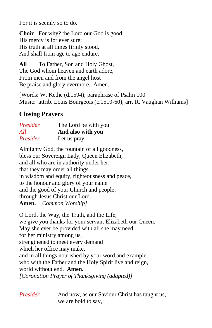For it is seemly so to do.

**Choir** For why? the Lord our God is good; His mercy is for ever sure; His truth at all times firmly stood, And shall from age to age endure.

**All** To Father, Son and Holy Ghost, The God whom heaven and earth adore, From men and from the angel host Be praise and glory evermore. Amen.

[Words: W. Kethe (d.1594); paraphrase of Psalm 100 Music: attrib. Louis Bourgeois (c.1510-60); arr. R. Vaughan Williams]

#### **Closing Prayers**

| Presider | The Lord be with you |
|----------|----------------------|
| All      | And also with you    |
| Presider | Let us pray          |

Almighty God, the fountain of all goodness, bless our Sovereign Lady, Queen Elizabeth, and all who are in authority under her; that they may order all things in wisdom and equity, righteousness and peace, to the honour and glory of your name and the good of your Church and people; through Jesus Christ our Lord. **Amen.** [*Common Worship]*

O Lord, the Way, the Truth, and the Life, we give you thanks for your servant Elizabeth our Queen. May she ever be provided with all she may need for her ministry among us, strengthened to meet every demand which her office may make, and in all things nourished by your word and example, who with the Father and the Holy Spirit live and reign, world without end. **Amen.** *[Coronation Prayer of Thanksgiving (adapted)]*

*Presider* And now, as our Saviour Christ has taught us, we are bold to say,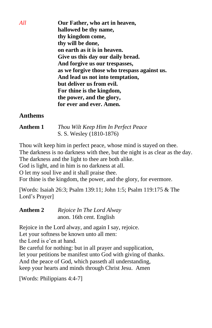*All* **Our Father, who art in heaven, hallowed be thy name, thy kingdom come, thy will be done, on earth as it is in heaven. Give us this day our daily bread. And forgive us our trespasses, as we forgive those who trespass against us. And lead us not into temptation, but deliver us from evil. For thine is the kingdom, the power, and the glory, for ever and ever. Amen.**

#### **Anthems**

| Anthem 1 | Thou Wilt Keep Him In Perfect Peace |
|----------|-------------------------------------|
|          | S. S. Wesley (1810-1876)            |

Thou wilt keep him in perfect peace, whose mind is stayed on thee. The darkness is no darkness with thee, but the night is as clear as the day. The darkness and the light to thee are both alike.

God is light, and in him is no darkness at all.

O let my soul live and it shall praise thee.

For thine is the kingdom, the power, and the glory, for evermore.

[Words: Isaiah 26:3; Psalm 139:11; John 1:5; Psalm 119:175 & The Lord's Prayer]

| Anthem 2 | Rejoice In The Lord Alway |
|----------|---------------------------|
|          | anon. 16th cent. English  |

Rejoice in the Lord alway, and again I say, rejoice.

Let your softness be known unto all men:

the Lord is e'en at hand.

Be careful for nothing: but in all prayer and supplication,

let your petitions be manifest unto God with giving of thanks.

And the peace of God, which passeth all understanding,

keep your hearts and minds through Christ Jesu. Amen

[Words: Philippians 4:4-7]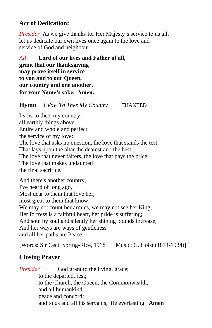### **Act of Dedication:**

*Presider* As we give thanks for Her Majesty's service to us all, let us dedicate our own lives once again to the love and service of God and neighbour:

*All* **Lord of our lives and Father of all, grant that our thanksgiving may prove itself in service to you and to our Queen, our country and one another, for your Name's sake. Amen.**

#### **Hymn** *I Vow To Thee My Country* THAXTED

I vow to thee, my country, all earthly things above, Entire and whole and perfect, the service of my love: The love that asks no question, the love that stands the test, That lays upon the altar the dearest and the best; The love that never falters, the love that pays the price, The love that makes undaunted the final sacrifice.

And there's another country, I've heard of long ago, Most dear to them that love her, most great to them that know; We may not count her armies, we may not see her King; Her fortress is a faithful heart, her pride is suffering; And soul by soul and silently her shining bounds increase, And her ways are ways of gentleness and all her paths are Peace.

[Words: Sir Cecil Spring-Rice, 1918 Music: G. Holst (1874-1934)]

#### **Closing Prayer**

*Presider* God grant to the living, grace; to the departed, rest; to the Church, the Queen, the Commonwealth, and all humankind, peace and concord; and to us and all his servants, life everlasting. **Amen**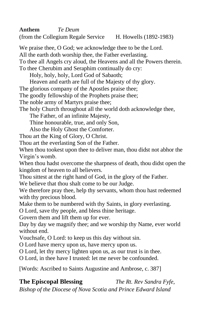**Anthem** *Te Deum* 

(from the Collegium Regale Service H. Howells (1892-1983)

We praise thee, O God; we acknowledge thee to be the Lord.

All the earth doth worship thee, the Father everlasting.

To thee all Angels cry aloud, the Heavens and all the Powers therein.

To thee Cherubim and Seraphim continually do cry:

Holy, holy, holy, Lord God of Sabaoth;

Heaven and earth are full of the Majesty of thy glory.

The glorious company of the Apostles praise thee;

The goodly fellowship of the Prophets praise thee;

The noble army of Martyrs praise thee;

The holy Church throughout all the world doth acknowledge thee,

The Father, of an infinite Majesty,

Thine honourable, true, and only Son,

Also the Holy Ghost the Comforter.

Thou art the King of Glory, O Christ.

Thou art the everlasting Son of the Father.

When thou tookest upon thee to deliver man, thou didst not abhor the Virgin's womb.

When thou hadst overcome the sharpness of death, thou didst open the kingdom of heaven to all believers.

Thou sittest at the right hand of God, in the glory of the Father.

We believe that thou shalt come to be our Judge.

We therefore pray thee, help thy servants, whom thou hast redeemed with thy precious blood.

Make them to be numbered with thy Saints, in glory everlasting.

O Lord, save thy people, and bless thine heritage.

Govern them and lift them up for ever.

Day by day we magnify thee; and we worship thy Name, ever world without end.

Vouchsafe, O Lord: to keep us this day without sin.

O Lord have mercy upon us, have mercy upon us.

O Lord, let thy mercy lighten upon us, as our trust is in thee.

O Lord, in thee have I trusted: let me never be confounded.

[Words: Ascribed to Saints Augustine and Ambrose, c. 387]

**The Episcopal Blessing** *The Rt. Rev Sandra Fyfe,* 

*Bishop of the Diocese of Nova Scotia and Prince Edward Island*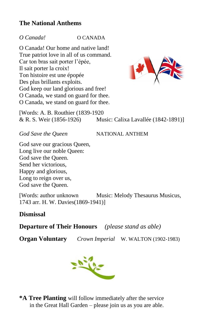### **The National Anthems**

#### *O Canada!* O CANADA

O Canada! Our home and native land! True patriot love in all of us command. Car ton bras sait porter l'épée, Il sait porter la croix! Ton histoire est une épopée Des plus brillants exploits. God keep our land glorious and free! O Canada, we stand on guard for thee. O Canada, we stand on guard for thee.



[Words: A. B. Routhier (1839-1920 & R. S. Weir (1856-1926) Music: Calixa Lavallée (1842-1891)]

*God Save the Queen* NATIONAL ANTHEM

God save our gracious Queen, Long live our noble Queen: God save the Queen. Send her victorious, Happy and glorious, Long to reign over us, God save the Queen.

[Words: author unknown Music: Melody Thesaurus Musicus, 1743 arr. H. W. Davies(1869-1941)]

#### **Dismissal**

**Departure of Their Honours** *(please stand as able)*

**Organ Voluntary** *Crown Imperial* W. WALTON (1902-1983)



**\*A Tree Planting** will follow immediately after the service . in the Great Hall Garden – please join us as you are able.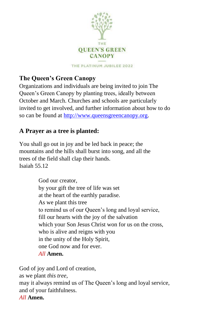

THE PLATINUM JUBILEE 2022

# **The Queen's Green Canopy**

Organizations and individuals are being invited to join The Queen's Green Canopy by planting trees, ideally between October and March. Churches and schools are particularly invited to get involved, and further information about how to do so can be found at [http://www.queensgreencanopy.org.](http://www.queensgreencanopy.org/)

# **A Prayer as a tree is planted:**

You shall go out in joy and be led back in peace; the mountains and the hills shall burst into song, and all the trees of the field shall clap their hands. Isaiah 55.12

> God our creator, by your gift the tree of life was set at the heart of the earthly paradise. As we plant this tree to remind us of our Queen's long and loyal service, fill our hearts with the joy of the salvation which your Son Jesus Christ won for us on the cross, who is alive and reigns with you in the unity of the Holy Spirit, one God now and for ever. *All* **Amen.**

God of joy and Lord of creation,

as we plant *this tree*,

may it always remind us of The Queen's long and loyal service, and of your faithfulness.

#### *All* **Amen.**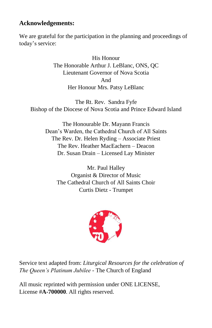### **Acknowledgements:**

We are grateful for the participation in the planning and proceedings of today's service:

> His Honour The Honorable Arthur J. LeBlanc, ONS, QC Lieutenant Governor of Nova Scotia And Her Honour Mrs. Patsy LeBlanc

The Rt. Rev. Sandra Fyfe Bishop of the Diocese of Nova Scotia and Prince Edward Island

The Honourable Dr. Mayann Francis Dean's Warden, the Cathedral Church of All Saints The Rev. Dr. Helen Ryding – Associate Priest The Rev. Heather MacEachern – Deacon Dr. Susan Drain – Licensed Lay Minister

Mr. Paul Halley Organist & Director of Music The Cathedral Church of All Saints Choir Curtis Dietz - Trumpet



Service text adapted from: *Liturgical Resources for the celebration of The Queen's Platinum Jubilee -* The Church of England

All music reprinted with permission under ONE LICENSE, License #**A-700000**. All rights reserved.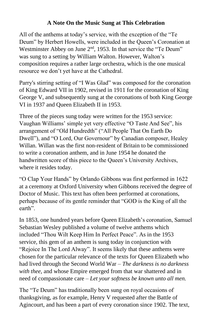#### **A Note On the Music Sung at This Celebration**

All of the anthems at today's service, with the exception of the "Te Deum" by Herbert Howells, were included in the Queen's Coronation at Westminster Abbey on June 2<sup>nd</sup>, 1953. In that service the "Te Deum" was sung to a setting by William Walton. However, Walton's composition requires a rather large orchestra, which is the one musical resource we don't yet have at the Cathedral.

Parry's stirring setting of "I Was Glad" was composed for the coronation of King Edward VII in 1902, revised in 1911 for the coronation of King George V, and subsequently sung at the coronations of both King George VI in 1937 and Queen Elizabeth II in 1953.

Three of the pieces sung today were written for the 1953 service: Vaughan Williams' simple yet very effective "O Taste And See", his arrangement of "Old Hundredth" ("All People That On Earth Do Dwell"), and "O Lord, Our Governour" by Canadian composer, Healey Willan. Willan was the first non-resident of Britain to be commissioned to write a coronation anthem, and in June 1954 he donated the handwritten score of this piece to the Queen's University Archives, where it resides today.

"O Clap Your Hands" by Orlando Gibbons was first performed in 1622 at a ceremony at Oxford University when Gibbons received the degree of Doctor of Music. This text has often been performed at coronations, perhaps because of its gentle reminder that "GOD is the King of all the earth".

In 1853, one hundred years before Queen Elizabeth's coronation, Samuel Sebastian Wesley published a volume of twelve anthems which included "Thou Wilt Keep Him In Perfect Peace". As in the 1953 service, this gem of an anthem is sung today in conjunction with "Rejoice In The Lord Alway". It seems likely that these anthems were chosen for the particular relevance of the texts for Queen Elizabeth who had lived through the Second World War – *The darkness is no darkness with thee,* and whose Empire emerged from that war shattered and in need of compassionate care – *Let your softness be known unto all men.*

The "Te Deum" has traditionally been sung on royal occasions of thanksgiving, as for example, Henry V requested after the Battle of Agincourt, and has been a part of every coronation since 1902. The text,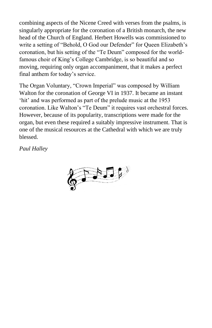combining aspects of the Nicene Creed with verses from the psalms, is singularly appropriate for the coronation of a British monarch, the new head of the Church of England. Herbert Howells was commissioned to write a setting of "Behold, O God our Defender" for Queen Elizabeth's coronation, but his setting of the "Te Deum" composed for the worldfamous choir of King's College Cambridge, is so beautiful and so moving, requiring only organ accompaniment, that it makes a perfect final anthem for today's service.

The Organ Voluntary, "Crown Imperial" was composed by William Walton for the coronation of George VI in 1937. It became an instant 'hit' and was performed as part of the prelude music at the 1953 coronation. Like Walton's "Te Deum" it requires vast orchestral forces. However, because of its popularity, transcriptions were made for the organ, but even these required a suitably impressive instrument. That is one of the musical resources at the Cathedral with which we are truly blessed.

*Paul Halley*